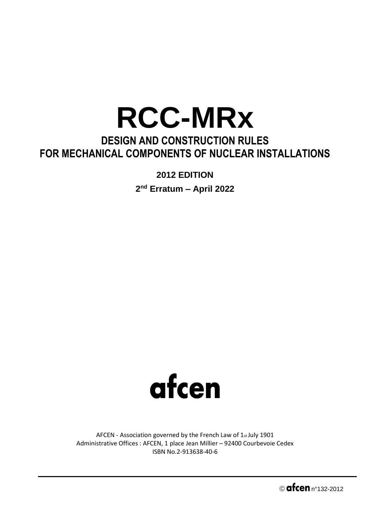## **RCC-MRx**

## **DESIGN AND CONSTRUCTION RULES FOR MECHANICAL COMPONENTS OF NUCLEAR INSTALLATIONS**

**2012 EDITION** 

**2 nd Erratum – April 2022**



AFCEN - Association governed by the French Law of 1st July 1901 Administrative Offices : AFCEN, 1 place Jean Millier – 92400 Courbevoie Cedex ISBN No.2-913638-40-6

 $\circ$  afcen  $n^{\circ}$ 132-2012